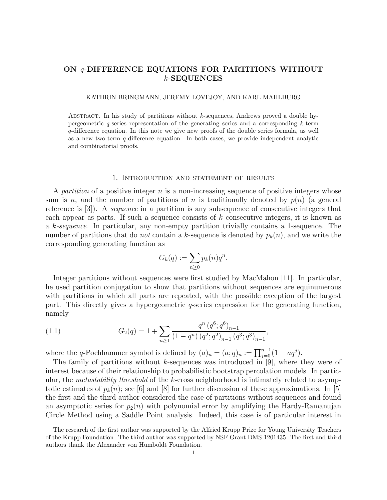# ON q-DIFFERENCE EQUATIONS FOR PARTITIONS WITHOUT k-SEQUENCES

### KATHRIN BRINGMANN, JEREMY LOVEJOY, AND KARL MAHLBURG

ABSTRACT. In his study of partitions without  $k$ -sequences, Andrews proved a double hypergeometric  $q$ -series representation of the generating series and a corresponding  $k$ -term q-difference equation. In this note we give new proofs of the double series formula, as well as a new two-term q-difference equation. In both cases, we provide independent analytic and combinatorial proofs.

#### 1. Introduction and statement of results

A partition of a positive integer  $n$  is a non-increasing sequence of positive integers whose sum is n, and the number of partitions of n is traditionally denoted by  $p(n)$  (a general reference is [3]). A sequence in a partition is any subsequence of consecutive integers that each appear as parts. If such a sequence consists of k consecutive integers, it is known as a k-sequence. In particular, any non-empty partition trivially contains a 1-sequence. The number of partitions that do *not* contain a k-sequence is denoted by  $p_k(n)$ , and we write the corresponding generating function as

$$
G_k(q) := \sum_{n\geq 0} p_k(n)q^n.
$$

Integer partitions without sequences were first studied by MacMahon [11]. In particular, he used partition conjugation to show that partitions without sequences are equinumerous with partitions in which all parts are repeated, with the possible exception of the largest part. This directly gives a hypergeometric  $q$ -series expression for the generating function, namely

(1.1) 
$$
G_2(q) = 1 + \sum_{n\geq 1} \frac{q^n (q^6; q^6)_{n-1}}{(1-q^n) (q^2; q^2)_{n-1} (q^3; q^3)_{n-1}},
$$

where the q-Pochhammer symbol is defined by  $(a)_n = (a;q)_n := \prod_{j=0}^{n-1} (1 - aq^j)$ .

The family of partitions without  $k$ -sequences was introduced in [9], where they were of interest because of their relationship to probabilistic bootstrap percolation models. In particular, the metastability threshold of the k-cross neighborhood is intimately related to asymptotic estimates of  $p_k(n)$ ; see [6] and [8] for further discussion of these approximations. In [5] the first and the third author considered the case of partitions without sequences and found an asymptotic series for  $p_2(n)$  with polynomial error by amplifying the Hardy-Ramanujan Circle Method using a Saddle Point analysis. Indeed, this case is of particular interest in

The research of the first author was supported by the Alfried Krupp Prize for Young University Teachers of the Krupp Foundation. The third author was supported by NSF Grant DMS-1201435. The first and third authors thank the Alexander von Humboldt Foundation.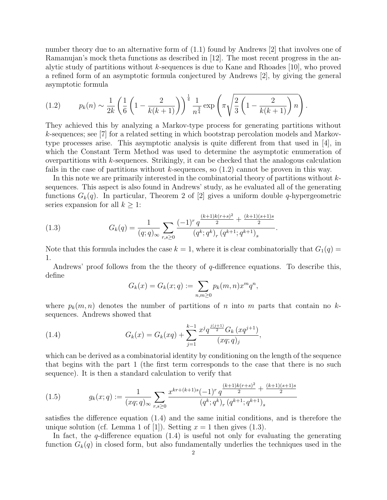number theory due to an alternative form of (1.1) found by Andrews [2] that involves one of Ramanujan's mock theta functions as described in [12]. The most recent progress in the analytic study of partitions without k-sequences is due to Kane and Rhoades [10], who proved a refined form of an asymptotic formula conjectured by Andrews [2], by giving the general asymptotic formula

(1.2) 
$$
p_k(n) \sim \frac{1}{2k} \left( \frac{1}{6} \left( 1 - \frac{2}{k(k+1)} \right) \right)^{\frac{1}{4}} \frac{1}{n^{\frac{3}{4}}} \exp \left( \pi \sqrt{\frac{2}{3} \left( 1 - \frac{2}{k(k+1)} \right) n} \right).
$$

They achieved this by analyzing a Markov-type process for generating partitions without k-sequences; see [7] for a related setting in which bootstrap percolation models and Markovtype processes arise. This asymptotic analysis is quite different from that used in [4], in which the Constant Term Method was used to determine the asymptotic enumeration of overpartitions with k-sequences. Strikingly, it can be checked that the analogous calculation fails in the case of partitions without  $k$ -sequences, so  $(1.2)$  cannot be proven in this way.

In this note we are primarily interested in the combinatorial theory of partitions without ksequences. This aspect is also found in Andrews' study, as he evaluated all of the generating functions  $G_k(q)$ . In particular, Theorem 2 of [2] gives a uniform double q-hypergeometric series expansion for all  $k \geq 1$ :

(1.3) 
$$
G_k(q) = \frac{1}{(q;q)_{\infty}} \sum_{r,s \ge 0} \frac{(-1)^r q^{\frac{(k+1)k(r+s)^2}{2} + \frac{(k+1)(s+1)s}{2}}}{(q^k;q^k)_r (q^{k+1};q^{k+1})_s}
$$

Note that this formula includes the case  $k = 1$ , where it is clear combinatorially that  $G_1(q) =$ 1.

.

Andrews' proof follows from the theory of  $q$ -difference equations. To describe this, define

$$
G_k(x) = G_k(x; q) := \sum_{n,m \ge 0} p_k(m, n) x^m q^n,
$$

where  $p_k(m, n)$  denotes the number of partitions of n into m parts that contain no ksequences. Andrews showed that

(1.4) 
$$
G_k(x) = G_k(xq) + \sum_{j=1}^{k-1} \frac{x^j q^{\frac{j(j+1)}{2}} G_k (xq^{j+1})}{(xq;q)_j},
$$

which can be derived as a combinatorial identity by conditioning on the length of the sequence that begins with the part 1 (the first term corresponds to the case that there is no such sequence). It is then a standard calculation to verify that

(1.5) 
$$
g_k(x;q) := \frac{1}{(xq;q)_{\infty}} \sum_{r,s \ge 0} \frac{x^{kr + (k+1)s}(-1)^r q^{\frac{(k+1)k(r+s)^2}{2} + \frac{(k+1)(s+1)s}{2}}}{(q^k;q^k)_r (q^{k+1};q^{k+1})_s}
$$

satisfies the difference equation (1.4) and the same initial conditions, and is therefore the unique solution (cf. Lemma 1 of [1]). Setting  $x = 1$  then gives (1.3).

In fact, the q-difference equation  $(1.4)$  is useful not only for evaluating the generating function  $G_k(q)$  in closed form, but also fundamentally underlies the techniques used in the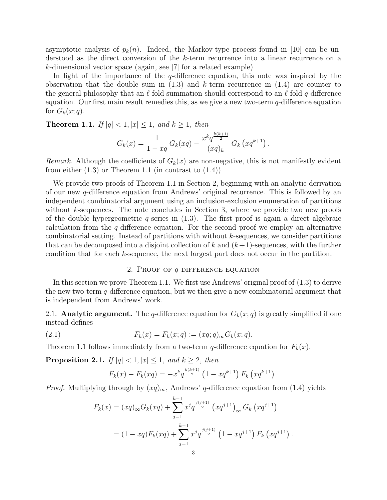asymptotic analysis of  $p_k(n)$ . Indeed, the Markov-type process found in [10] can be understood as the direct conversion of the k-term recurrence into a linear recurrence on a k-dimensional vector space (again, see [7] for a related example).

In light of the importance of the  $q$ -difference equation, this note was inspired by the observation that the double sum in  $(1.3)$  and k-term recurrence in  $(1.4)$  are counter to the general philosophy that an  $\ell$ -fold summation should correspond to an  $\ell$ -fold q-difference equation. Our first main result remedies this, as we give a new two-term  $q$ -difference equation for  $G_k(x; q)$ .

**Theorem 1.1.** If  $|q| < 1, |x| \leq 1$ , and  $k \geq 1$ , then

$$
G_k(x) = \frac{1}{1 - xq} G_k(xq) - \frac{x^k q^{\frac{k(k+1)}{2}}}{(xq)_k} G_k(xq^{k+1}).
$$

*Remark.* Although the coefficients of  $G_k(x)$  are non-negative, this is not manifestly evident from either  $(1.3)$  or Theorem 1.1 (in contrast to  $(1.4)$ ).

We provide two proofs of Theorem 1.1 in Section 2, beginning with an analytic derivation of our new q-difference equation from Andrews' original recurrence. This is followed by an independent combinatorial argument using an inclusion-exclusion enumeration of partitions without  $k$ -sequences. The note concludes in Section 3, where we provide two new proofs of the double hypergeometric  $q$ -series in  $(1.3)$ . The first proof is again a direct algebraic calculation from the q-difference equation. For the second proof we employ an alternative combinatorial setting. Instead of partitions with without  $k$ -sequences, we consider partitions that can be decomposed into a disjoint collection of k and  $(k+1)$ -sequences, with the further condition that for each k-sequence, the next largest part does not occur in the partition.

### 2. Proof of q-difference equation

In this section we prove Theorem 1.1. We first use Andrews' original proof of (1.3) to derive the new two-term  $q$ -difference equation, but we then give a new combinatorial argument that is independent from Andrews' work.

2.1. **Analytic argument.** The q-difference equation for  $G_k(x; q)$  is greatly simplified if one instead defines

(2.1) 
$$
F_k(x) = F_k(x; q) := (xq; q)_{\infty} G_k(x; q).
$$

Theorem 1.1 follows immediately from a two-term q-difference equation for  $F_k(x)$ .

**Proposition 2.1.** If  $|q| < 1, |x| \leq 1$ , and  $k \geq 2$ , then

$$
F_k(x) - F_k(xq) = -x^k q^{\frac{k(k+1)}{2}} \left(1 - xq^{k+1}\right) F_k\left(xq^{k+1}\right).
$$

*Proof.* Multiplying through by  $(xq)_{\infty}$ , Andrews' q-difference equation from (1.4) yields

$$
F_k(x) = (xq)_{\infty} G_k(xq) + \sum_{j=1}^{k-1} x^j q^{\frac{j(j+1)}{2}} (xq^{j+1})_{\infty} G_k (xq^{j+1})
$$
  
=  $(1 - xq) F_k(xq) + \sum_{j=1}^{k-1} x^j q^{\frac{j(j+1)}{2}} (1 - xq^{j+1}) F_k (xq^{j+1}).$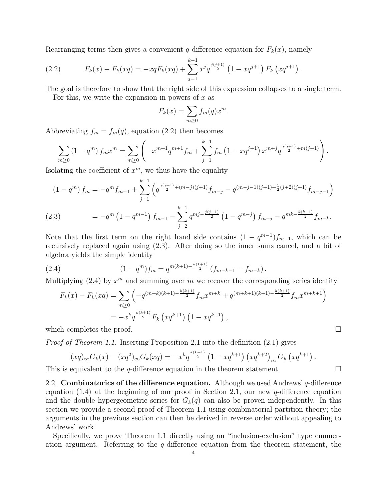Rearranging terms then gives a convenient q-difference equation for  $F_k(x)$ , namely

(2.2) 
$$
F_k(x) - F_k(xq) = -xqF_k(xq) + \sum_{j=1}^{k-1} x^j q^{\frac{j(j+1)}{2}} \left(1 - xq^{j+1}\right) F_k\left(xq^{j+1}\right).
$$

The goal is therefore to show that the right side of this expression collapses to a single term.

For this, we write the expansion in powers of  $x$  as

$$
F_k(x) = \sum_{m \ge 0} f_m(q) x^m.
$$

Abbreviating  $f_m = f_m(q)$ , equation (2.2) then becomes

$$
\sum_{m\geq 0} \left(1-q^m\right) f_m x^m = \sum_{m\geq 0} \left(-x^{m+1} q^{m+1} f_m + \sum_{j=1}^{k-1} f_m \left(1-x q^{j+1}\right) x^{m+j} q^{\frac{j(j+1)}{2}+m(j+1)}\right).
$$

Isolating the coefficient of  $x^m$ , we thus have the equality

$$
(1 - q^m) f_m = -q^m f_{m-1} + \sum_{j=1}^{k-1} \left( q^{\frac{j(j+1)}{2} + (m-j)(j+1)} f_{m-j} - q^{(m-j-1)(j+1) + \frac{1}{2}(j+2)(j+1)} f_{m-j-1} \right)
$$
  
(2.3) 
$$
= -q^m \left( 1 - q^{m-1} \right) f_{m-1} - \sum_{j=2}^{k-1} q^{mj - \frac{j(j-1)}{2}} \left( 1 - q^{m-j} \right) f_{m-j} - q^{mk - \frac{k(k-1)}{2}} f_{m-k}.
$$

Note that the first term on the right hand side contains  $(1 - q^{m-1})f_{m-1}$ , which can be recursively replaced again using (2.3). After doing so the inner sums cancel, and a bit of algebra yields the simple identity

(2.4) 
$$
(1-q^m)f_m = q^{m(k+1)-\frac{k(k+1)}{2}}(f_{m-k-1}-f_{m-k}).
$$

Multiplying  $(2.4)$  by  $x^m$  and summing over m we recover the corresponding series identity

$$
F_k(x) - F_k(xq) = \sum_{m \ge 0} \left( -q^{(m+k)(k+1) - \frac{k(k+1)}{2}} f_m x^{m+k} + q^{(m+k+1)(k+1) - \frac{k(k+1)}{2}} f_m x^{m+k+1} \right)
$$
  
= 
$$
-x^k q^{\frac{k(k+1)}{2}} F_k \left( xq^{k+1} \right) \left( 1 - xq^{k+1} \right),
$$

which completes the proof.  $\Box$ 

Proof of Theorem 1.1. Inserting Proposition 2.1 into the definition (2.1) gives

$$
(xq)_{\infty}G_k(x) - (xq^2)_{\infty}G_k(xq) = -x^k q^{\frac{k(k+1)}{2}} (1 - xq^{k+1}) (xq^{k+2})_{\infty}G_k(xq^{k+1}).
$$

This is equivalent to the *q*-difference equation in the theorem statement.  $\Box$ 

2.2. Combinatorics of the difference equation. Although we used Andrews'  $q$ -difference equation (1.4) at the beginning of our proof in Section 2.1, our new  $q$ -difference equation and the double hypergeometric series for  $G_k(q)$  can also be proven independently. In this section we provide a second proof of Theorem 1.1 using combinatorial partition theory; the arguments in the previous section can then be derived in reverse order without appealing to Andrews' work.

Specifically, we prove Theorem 1.1 directly using an "inclusion-exclusion" type enumeration argument. Referring to the  $q$ -difference equation from the theorem statement, the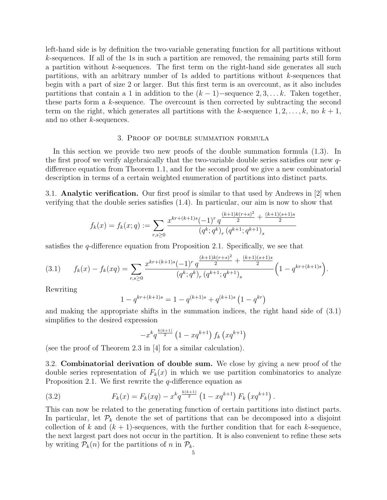left-hand side is by definition the two-variable generating function for all partitions without k-sequences. If all of the 1s in such a partition are removed, the remaining parts still form a partition without  $k$ -sequences. The first term on the right-hand side generates all such partitions, with an arbitrary number of 1s added to partitions without k-sequences that begin with a part of size 2 or larger. But this first term is an overcount, as it also includes partitions that contain a 1 in addition to the  $(k-1)$ –sequence 2, 3, . . . k. Taken together, these parts form a k-sequence. The overcount is then corrected by subtracting the second term on the right, which generates all partitions with the k-sequence  $1, 2, \ldots, k$ , no  $k + 1$ , and no other k-sequences.

## 3. Proof of double summation formula

In this section we provide two new proofs of the double summation formula (1.3). In the first proof we verify algebraically that the two-variable double series satisfies our new qdifference equation from Theorem 1.1, and for the second proof we give a new combinatorial description in terms of a certain weighted enumeration of partitions into distinct parts.

3.1. Analytic verification. Our first proof is similar to that used by Andrews in [2] when verifying that the double series satisfies (1.4). In particular, our aim is now to show that

$$
f_k(x) = f_k(x; q) := \sum_{r,s \ge 0} \frac{x^{kr + (k+1)s} (-1)^r q^{\frac{(k+1)k(r+s)^2}{2} + \frac{(k+1)(s+1)s}{2}}}{(q^k; q^k)_r (q^{k+1}; q^{k+1})_s}
$$

satisfies the  $q$ -difference equation from Proposition 2.1. Specifically, we see that

$$
(3.1) \t f_k(x) - f_k(xq) = \sum_{r,s \ge 0} \frac{x^{kr + (k+1)s} (-1)^r q^{\frac{(k+1)k(r+s)^2}{2} + \frac{(k+1)(s+1)s}{2}}}{(q^k; q^k)_r (q^{k+1}; q^{k+1})_s} \left(1 - q^{kr + (k+1)s}\right).
$$

Rewriting

$$
1 - q^{kr + (k+1)s} = 1 - q^{(k+1)s} + q^{(k+1)s} (1 - q^{kr})
$$

and making the appropriate shifts in the summation indices, the right hand side of (3.1) simplifies to the desired expression

$$
-x^{k}q^{\frac{k(k+1)}{2}}\left(1-xq^{k+1}\right)f_{k}\left(xq^{k+1}\right)
$$

(see the proof of Theorem 2.3 in [4] for a similar calculation).

3.2. Combinatorial derivation of double sum. We close by giving a new proof of the double series representation of  $F_k(x)$  in which we use partition combinatorics to analyze Proposition 2.1. We first rewrite the *q*-difference equation as

(3.2) 
$$
F_k(x) = F_k(xq) - x^k q^{\frac{k(k+1)}{2}} \left(1 - xq^{k+1}\right) F_k\left(xq^{k+1}\right).
$$

This can now be related to the generating function of certain partitions into distinct parts. In particular, let  $\mathcal{P}_k$  denote the set of partitions that can be decomposed into a disjoint collection of k and  $(k + 1)$ -sequences, with the further condition that for each k-sequence, the next largest part does not occur in the partition. It is also convenient to refine these sets by writing  $P_k(n)$  for the partitions of n in  $P_k$ .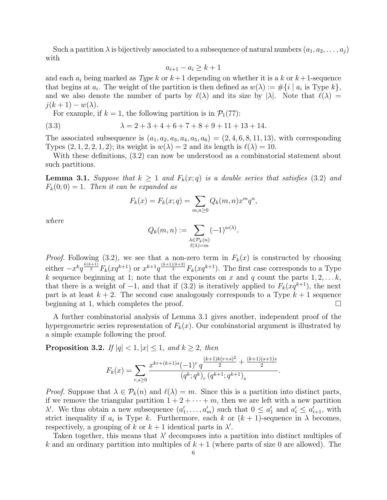Such a partition  $\lambda$  is bijectively associated to a subsequence of natural numbers  $(a_1, a_2, \ldots, a_j)$ with

$$
a_{i+1} - a_i \ge k+1
$$

and each  $a_i$  being marked as Type k or  $k+1$  depending on whether it is a k or  $k+1$ -sequence that begins at  $a_i$ . The weight of the partition is then defined as  $w(\lambda) := \#\{i \mid a_i \text{ is Type } k\},\$ and we also denote the number of parts by  $\ell(\lambda)$  and its size by  $|\lambda|$ . Note that  $\ell(\lambda) =$  $j(k+1) - w(\lambda)$ .

For example, if  $k = 1$ , the following partition is in  $\mathcal{P}_1(77)$ :

(3.3) 
$$
\lambda = 2 + 3 + 4 + 6 + 7 + 8 + 9 + 11 + 13 + 14.
$$

The associated subsequence is  $(a_1, a_2, a_3, a_4, a_5, a_6) = (2, 4, 6, 8, 11, 13)$ , with corresponding Types  $(2, 1, 2, 2, 1, 2)$ ; its weight is  $w(\lambda) = 2$  and its length is  $\ell(\lambda) = 10$ .

With these definitions, (3.2) can now be understood as a combinatorial statement about such partitions.

**Lemma 3.1.** Suppose that  $k \geq 1$  and  $F_k(x;q)$  is a double series that satisfies (3.2) and  $F_k(0;0) = 1$ . Then it can be expanded as

$$
F_k(x) = F_k(x; q) = \sum_{m,n \ge 0} Q_k(m,n) x^m q^n,
$$

where

$$
Q_k(m, n) := \sum_{\substack{\lambda \in \mathcal{P}_k(n) \\ \ell(\lambda) = m}} (-1)^{w(\lambda)}.
$$

*Proof.* Following (3.2), we see that a non-zero term in  $F_k(x)$  is constructed by choosing either  $-x^k q^{\frac{k(k+1)}{2}} F_k(xq^{k+1})$  or  $x^{k+1} q^{\frac{(k+1)(k+2)}{2}} F_k(xq^{k+1})$ . The first case corresponds to a Type k sequence beginning at 1; note that the exponents on x and q count the parts  $1, 2, \ldots k$ , that there is a weight of  $-1$ , and that if (3.2) is iteratively applied to  $F_k(xq^{k+1})$ , the next part is at least  $k + 2$ . The second case analogously corresponds to a Type  $k + 1$  sequence beginning at 1, which completes the proof.  $\Box$ 

A further combinatorial analysis of Lemma 3.1 gives another, independent proof of the hypergeometric series representation of  $F_k(x)$ . Our combinatorial argument is illustrated by a simple example following the proof.

**Proposition 3.2.** If  $|q| < 1$ ,  $|x| \leq 1$ , and  $k \geq 2$ , then

$$
F_k(x) = \sum_{r,s \ge 0} \frac{x^{kr + (k+1)s} (-1)^r q^{\frac{(k+1)k(r+s)^2}{2} + \frac{(k+1)(s+1)s}{2}}}{(q^k; q^k)_r (q^{k+1}; q^{k+1})_s}.
$$

*Proof.* Suppose that  $\lambda \in \mathcal{P}_k(n)$  and  $\ell(\lambda) = m$ . Since this is a partition into distinct parts, if we remove the triangular partition  $1 + 2 + \cdots + m$ , then we are left with a new partition  $\lambda'$ . We thus obtain a new subsequence  $(a'_1, \ldots, a'_m)$  such that  $0 \le a'_1$  and  $a'_i \le a'_{i+1}$ , with strict inequality if  $a_i$  is Type k. Furthermore, each k or  $(k + 1)$ -sequence in  $\lambda$  becomes, respectively, a grouping of k or  $k + 1$  identical parts in  $\lambda'$ .

Taken together, this means that  $\lambda'$  decomposes into a partition into distinct multiples of k and an ordinary partition into multiples of  $k + 1$  (where parts of size 0 are allowed). The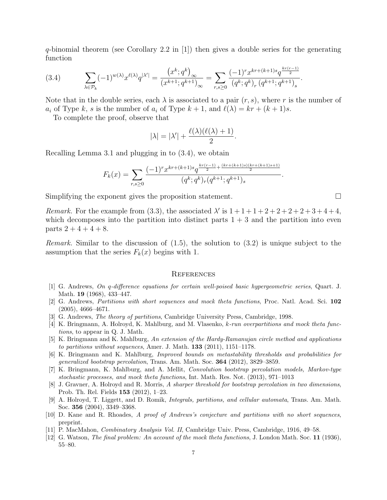q-binomial theorem (see Corollary 2.2 in [1]) then gives a double series for the generating function

$$
(3.4) \qquad \sum_{\lambda \in \mathcal{P}_k} (-1)^{w(\lambda)} x^{\ell(\lambda)} q^{|\lambda'|} = \frac{\left(x^k; q^k\right)_{\infty}}{\left(x^{k+1}; q^{k+1}\right)_{\infty}} = \sum_{r,s \ge 0} \frac{(-1)^r x^{kr + (k+1)s} q^{\frac{kr(r-1)}{2}}}{\left(q^k; q^k\right)_r \left(q^{k+1}; q^{k+1}\right)_s}.
$$

Note that in the double series, each  $\lambda$  is associated to a pair  $(r, s)$ , where r is the number of  $a_i$  of Type k, s is the number of  $a_i$  of Type  $k + 1$ , and  $\ell(\lambda) = kr + (k + 1)s$ .

To complete the proof, observe that

$$
|\lambda| = |\lambda'| + \frac{\ell(\lambda)(\ell(\lambda) + 1)}{2}.
$$

Recalling Lemma 3.1 and plugging in to (3.4), we obtain

$$
F_k(x) = \sum_{r,s \ge 0} \frac{(-1)^r x^{kr + (k+1)s} q^{\frac{kr(r-1)}{2} + \frac{(kr + (k+1)s)(kr + (k+1)s + 1)}{2}}}{(q^k; q^k)_r (q^{k+1}; q^{k+1})_s}.
$$

Simplifying the exponent gives the proposition statement.

Remark. For the example from (3.3), the associated  $\lambda'$  is  $1 + 1 + 1 + 2 + 2 + 2 + 2 + 3 + 4 + 4$ , which decomposes into the partition into distinct parts  $1 + 3$  and the partition into even parts  $2 + 4 + 4 + 8$ .

*Remark.* Similar to the discussion of  $(1.5)$ , the solution to  $(3.2)$  is unique subject to the assumption that the series  $F_k(x)$  begins with 1.

#### **REFERENCES**

- [1] G. Andrews, On q-difference equations for certain well-poised basic hypergeometric series, Quart. J. Math. **19** (1968), 433-447.
- [2] G. Andrews, Partitions with short sequences and mock theta functions, Proc. Natl. Acad. Sci. 102 (2005), 4666–4671.
- [3] G. Andrews, The theory of partitions, Cambridge University Press, Cambridge, 1998.
- [4] K. Bringmann, A. Holroyd, K. Mahlburg, and M. Vlasenko, k-run overpartitions and mock theta functions, to appear in Q. J. Math.
- [5] K. Bringmann and K. Mahlburg, An extension of the Hardy-Ramanujan circle method and applications to partitions without sequences, Amer. J. Math. 133 (2011), 1151–1178.
- [6] K. Bringmann and K. Mahlburg, Improved bounds on metastability thresholds and probabilities for generalized bootstrap percolation, Trans. Am. Math. Soc. 364 (2012), 3829–3859.
- [7] K. Bringmann, K. Mahlburg, and A. Mellit, Convolution bootstrap percolation models, Markov-type stochastic processes, and mock theta functions, Int. Math. Res. Not. (2013), 971–1013
- [8] J. Gravner, A. Holroyd and R. Morris, A sharper threshold for bootstrap percolation in two dimensions, Prob. Th. Rel. Fields 153 (2012), 1–23.
- [9] A. Holroyd, T. Liggett, and D. Romik, Integrals, partitions, and cellular automata, Trans. Am. Math. Soc. 356 (2004), 3349–3368.
- [10] D. Kane and R. Rhoades, A proof of Andrews's conjecture and partitions with no short sequences, preprint.
- [11] P. MacMahon, Combinatory Analysis Vol. II, Cambridge Univ. Press, Cambridge, 1916, 49–58.
- [12] G. Watson, *The final problem: An account of the mock theta functions*, J. London Math. Soc. 11 (1936), 55–80.